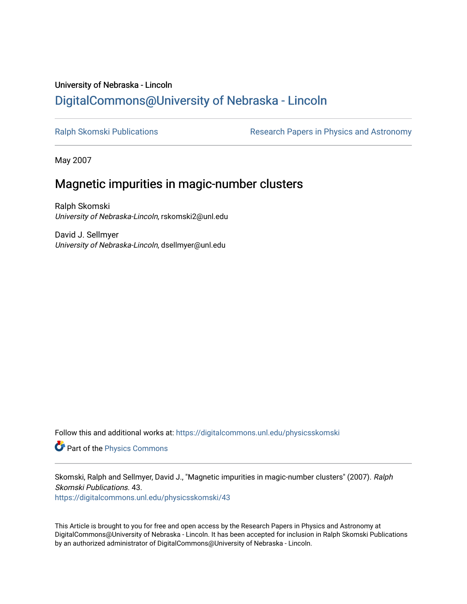# University of Nebraska - Lincoln [DigitalCommons@University of Nebraska - Lincoln](https://digitalcommons.unl.edu/)

[Ralph Skomski Publications](https://digitalcommons.unl.edu/physicsskomski) **Research Papers in Physics and Astronomy** 

May 2007

# Magnetic impurities in magic-number clusters

Ralph Skomski University of Nebraska-Lincoln, rskomski2@unl.edu

David J. Sellmyer University of Nebraska-Lincoln, dsellmyer@unl.edu

Follow this and additional works at: [https://digitalcommons.unl.edu/physicsskomski](https://digitalcommons.unl.edu/physicsskomski?utm_source=digitalcommons.unl.edu%2Fphysicsskomski%2F43&utm_medium=PDF&utm_campaign=PDFCoverPages) 

Part of the [Physics Commons](http://network.bepress.com/hgg/discipline/193?utm_source=digitalcommons.unl.edu%2Fphysicsskomski%2F43&utm_medium=PDF&utm_campaign=PDFCoverPages)

Skomski, Ralph and Sellmyer, David J., "Magnetic impurities in magic-number clusters" (2007). Ralph Skomski Publications. 43.

[https://digitalcommons.unl.edu/physicsskomski/43](https://digitalcommons.unl.edu/physicsskomski/43?utm_source=digitalcommons.unl.edu%2Fphysicsskomski%2F43&utm_medium=PDF&utm_campaign=PDFCoverPages)

This Article is brought to you for free and open access by the Research Papers in Physics and Astronomy at DigitalCommons@University of Nebraska - Lincoln. It has been accepted for inclusion in Ralph Skomski Publications by an authorized administrator of DigitalCommons@University of Nebraska - Lincoln.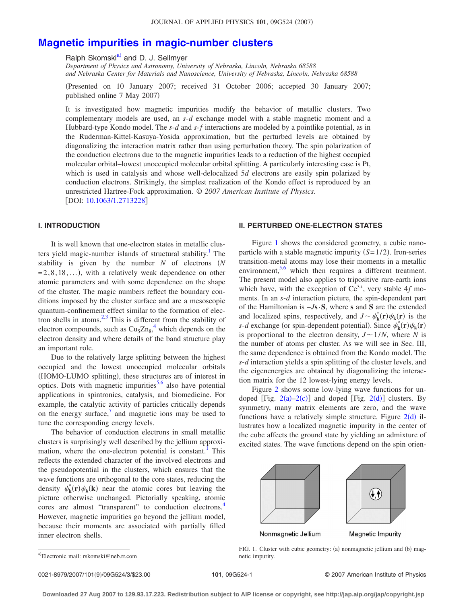# **[Magnetic impurities in magic-number clusters](http://dx.doi.org/10.1063/1.2713228)**

Ralph Skomski<sup>a)</sup> and D. J. Sellmyer

*Department of Physics and Astronomy, University of Nebraska, Lincoln, Nebraska 68588 and Nebraska Center for Materials and Nanoscience, University of Nebraska, Lincoln, Nebraska 68588*

Presented on 10 January 2007; received 31 October 2006; accepted 30 January 2007; published online 7 May 2007)

It is investigated how magnetic impurities modify the behavior of metallic clusters. Two complementary models are used, an *s*-*d* exchange model with a stable magnetic moment and a Hubbard-type Kondo model. The *s*-*d* and *s*-*f* interactions are modeled by a pointlike potential, as in the Ruderman-Kittel-Kasuya-Yosida approximation, but the perturbed levels are obtained by diagonalizing the interaction matrix rather than using perturbation theory. The spin polarization of the conduction electrons due to the magnetic impurities leads to a reduction of the highest occupied molecular orbital–lowest unoccupied molecular orbital splitting. A particularly interesting case is Pt, which is used in catalysis and whose well-delocalized 5*d* electrons are easily spin polarized by conduction electrons. Strikingly, the simplest realization of the Kondo effect is reproduced by an unrestricted Hartree-Fock approximation. © *2007 American Institute of Physics*. [DOI: [10.1063/1.2713228](http://dx.doi.org/10.1063/1.2713228)]

## **I. INTRODUCTION**

It is well known that one-electron states in metallic clusters yield magic-number islands of structural stability. $<sup>1</sup>$  The</sup> stability is given by the number *N* of electrons *N*  $=2,8,18,...$ , with a relatively weak dependence on other atomic parameters and with some dependence on the shape of the cluster. The magic numbers reflect the boundary conditions imposed by the cluster surface and are a mesoscopic quantum-confinement effect similar to the formation of electron shells in atoms. $2,3$  $2,3$  This is different from the stability of electron compounds, such as  $Cu<sub>5</sub>Zn<sub>8</sub><sup>4</sup>$  $Cu<sub>5</sub>Zn<sub>8</sub><sup>4</sup>$  $Cu<sub>5</sub>Zn<sub>8</sub><sup>4</sup>$  which depends on the electron density and where details of the band structure play an important role.

Due to the relatively large splitting between the highest occupied and the lowest unoccupied molecular orbitals (HOMO-LUMO splitting), these structures are of interest in optics. Dots with magnetic impurities<sup>5,[6](#page-3-5)</sup> also have potential applications in spintronics, catalysis, and biomedicine. For example, the catalytic activity of particles critically depends on the energy surface, $\frac{7}{1}$  and magnetic ions may be used to tune the corresponding energy levels.

The behavior of conduction electrons in small metallic clusters is surprisingly well described by the jellium approximation, where the one-electron potential is constant.<sup>1</sup> This reflects the extended character of the involved electrons and the pseudopotential in the clusters, which ensures that the wave functions are orthogonal to the core states, reducing the density  $\psi_k^*(\mathbf{r})\psi_k(\mathbf{k})$  near the atomic cores but leaving the picture otherwise unchanged. Pictorially speaking, atomic cores are almost "transparent" to conduction electrons.<sup>4</sup> However, magnetic impurities go beyond the jellium model, because their moments are associated with partially filled inner electron shells.

### **II. PERTURBED ONE-ELECTRON STATES**

Figure [1](#page-1-1) shows the considered geometry, a cubic nanoparticle with a stable magnetic impurity  $(S=1/2)$ . Iron-series transition-metal atoms may lose their moments in a metallic environment,  $5.6$  $5.6$  which then requires a different treatment. The present model also applies to tripositive rare-earth ions which have, with the exception of  $Ce^{3+}$ , very stable 4*f* moments. In an *s*-*d* interaction picture, the spin-dependent part of the Hamiltonian is −*J***s**·**S**, where **s** and **S** are the extended and localized spins, respectively, and  $J \sim \psi_k^*(\mathbf{r}) \psi_k(\mathbf{r})$  is the *s*-*d* exchange (or spin-dependent potential). Since  $\psi_k^*(\mathbf{r})\psi_k(\mathbf{r})$ is proportional to the electron density,  $J \sim 1/N$ , where *N* is the number of atoms per cluster. As we will see in Sec. III, the same dependence is obtained from the Kondo model. The *s*-*d* interaction yields a spin splitting of the cluster levels, and the eigenenergies are obtained by diagonalizing the interaction matrix for the 12 lowest-lying energy levels.

Figure [2](#page-2-0) shows some low-lying wave functions for undoped [Fig.  $2(a)-2(c)$  $2(a)-2(c)$ ] and doped [Fig.  $2(d)$ ] clusters. By symmetry, many matrix elements are zero, and the wave functions have a relatively simple structure. Figure  $2(d)$  $2(d)$  illustrates how a localized magnetic impurity in the center of the cube affects the ground state by yielding an admixture of excited states. The wave functions depend on the spin orien-

<span id="page-1-1"></span>

Nonmagnetic Jellium

Magnetic Impurity

FIG. 1. Cluster with cubic geometry: (a) nonmagnetic jellium and (b) magnetic impurity.

<span id="page-1-0"></span>a)Electronic mail: rskomski@neb.rr.com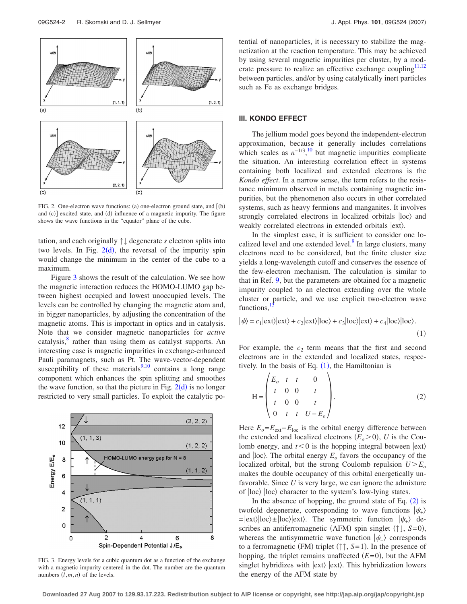<span id="page-2-0"></span>

FIG. 2. One-electron wave functions: (a) one-electron ground state, and  $[(b)$ and (c)] excited state, and (d) influence of a magnetic impurity. The figure shows the wave functions in the "equator" plane of the cube.

tation, and each originally ↑↓ degenerate *s* electron splits into two levels. In Fig.  $2(d)$  $2(d)$ , the reversal of the impurity spin would change the minimum in the center of the cube to a maximum.

Figure [3](#page-2-1) shows the result of the calculation. We see how the magnetic interaction reduces the HOMO-LUMO gap between highest occupied and lowest unoccupied levels. The levels can be controlled by changing the magnetic atom and, in bigger nanoparticles, by adjusting the concentration of the magnetic atoms. This is important in optics and in catalysis. Note that we consider magnetic nanoparticles for *active* catalysis,<sup>8</sup> rather than using them as catalyst supports. An interesting case is magnetic impurities in exchange-enhanced Pauli paramagnets, such as Pt. The wave-vector-dependent susceptibility of these materials $9,10$  $9,10$  contains a long range component which enhances the spin splitting and smoothes the wave function, so that the picture in Fig.  $2(d)$  $2(d)$  is no longer restricted to very small particles. To exploit the catalytic po-

<span id="page-2-1"></span>

FIG. 3. Energy levels for a cubic quantum dot as a function of the exchange with a magnetic impurity centered in the dot. The number are the quantum numbers  $(l, m, n)$  of the levels.

tential of nanoparticles, it is necessary to stabilize the magnetization at the reaction temperature. This may be achieved by using several magnetic impurities per cluster, by a mod-erate pressure to realize an effective exchange coupling<sup>11[,12](#page-3-11)</sup> between particles, and/or by using catalytically inert particles such as Fe as exchange bridges.

### **III. KONDO EFFECT**

The jellium model goes beyond the independent-electron approximation, because it generally includes correlations which scales as  $n^{-1/3}$ ,<sup>[10](#page-3-9)</sup> but magnetic impurities complicate the situation. An interesting correlation effect in systems containing both localized and extended electrons is the *Kondo effect*. In a narrow sense, the term refers to the resistance minimum observed in metals containing magnetic impurities, but the phenomenon also occurs in other correlated systems, such as heavy fermions and manganites. It involves strongly correlated electrons in localized orbitals  $|loc\rangle$  and weakly correlated electrons in extended orbitals  $|ext\rangle$ .

In the simplest case, it is sufficient to consider one localized level and one extended level.<sup>9</sup> In large clusters, many electrons need to be considered, but the finite cluster size yields a long-wavelength cutoff and conserves the essence of the few-electron mechanism. The calculation is similar to that in Ref. [9,](#page-3-8) but the parameters are obtained for a magnetic impurity coupled to an electron extending over the whole cluster or particle, and we use explicit two-electron wave functions,

<span id="page-2-2"></span>
$$
|\psi\rangle = c_1|\text{ext}\rangle|\text{ext}\rangle + c_2|\text{ext}\rangle|\text{loc}\rangle + c_3|\text{loc}\rangle|\text{ext}\rangle + c_4|\text{loc}\rangle|\text{loc}\rangle. \tag{1}
$$

For example, the  $c_2$  term means that the first and second electrons are in the extended and localized states, respectively. In the basis of Eq.  $(1)$  $(1)$  $(1)$ , the Hamiltonian is

<span id="page-2-3"></span>
$$
H = \begin{pmatrix} E_o & t & t & 0 \\ t & 0 & 0 & t \\ t & 0 & 0 & t \\ 0 & t & t & U - E_o \end{pmatrix}.
$$
 (2)

Here  $E_o = E_{ext} - E_{loc}$  is the orbital energy difference between the extended and localized electrons  $(E_o > 0)$ , *U* is the Coulomb energy, and  $t < 0$  is the hopping integral between  $\ket{\text{ext}}$ and  $|loc\rangle$ . The orbital energy  $E<sub>o</sub>$  favors the occupancy of the localized orbital, but the strong Coulomb repulsion  $U \geq E_o$ makes the double occupancy of this orbital energetically unfavorable. Since *U* is very large, we can ignore the admixture of  $|loc\rangle$  loc) character to the system's low-lying states.

In the absence of hopping, the ground state of Eq.  $(2)$  $(2)$  $(2)$  is twofold degenerate, corresponding to wave functions  $|\psi_{+}\rangle$  $=$ ext $\vert \text{loc} \rangle \pm \vert \text{loc} \rangle \vert \text{ext} \rangle$ . The symmetric function  $\vert \psi_{+} \rangle$  describes an antiferromagnetic (AFM) spin singlet  $(†\downarrow, S=0)$ , whereas the antisymmetric wave function  $|\psi_{-}\rangle$  corresponds to a ferromagnetic (FM) triplet  $(\uparrow \uparrow, S=1)$ . In the presence of hopping, the triplet remains unaffected  $(E=0)$ , but the AFM singlet hybridizes with  $|ext\rangle$   $|ext\rangle$ . This hybridization lowers the energy of the AFM state by